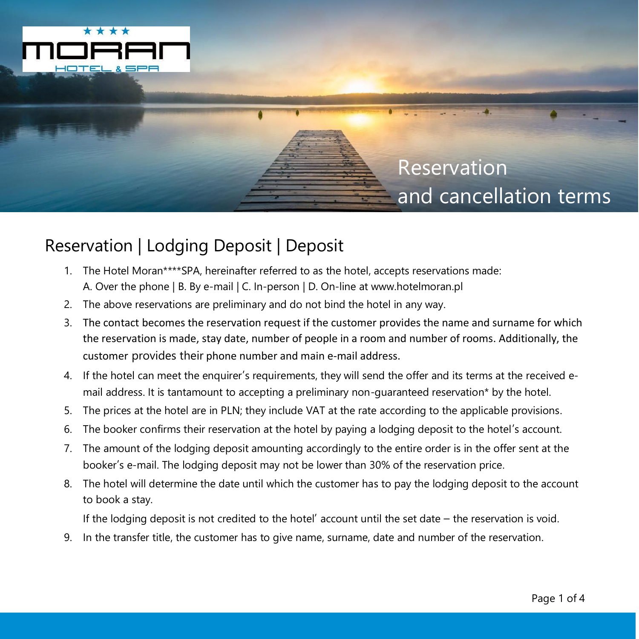

## Reservation and cancellation terms

## Reservation | Lodging Deposit | Deposit

- 1. The Hotel Moran\*\*\*\*SPA, hereinafter referred to as the hotel, accepts reservations made: A. Over the phone | B. By e-mail | C. In-person | D. On-line at www.hotelmoran.pl
- 2. The above reservations are preliminary and do not bind the hotel in any way.
- 3. The contact becomes the reservation request if the customer provides the name and surname for which the reservation is made, stay date, number of people in a room and number of rooms. Additionally, the customer provides their phone number and main e-mail address.
- 4. If the hotel can meet the enquirer's requirements, they will send the offer and its terms at the received email address. It is tantamount to accepting a preliminary non-guaranteed reservation\* by the hotel.
- 5. The prices at the hotel are in PLN; they include VAT at the rate according to the applicable provisions.
- 6. The booker confirms their reservation at the hotel by paying a lodging deposit to the hotel's account.
- 7. The amount of the lodging deposit amounting accordingly to the entire order is in the offer sent at the booker's e-mail. The lodging deposit may not be lower than 30% of the reservation price.
- 8. The hotel will determine the date until which the customer has to pay the lodging deposit to the account to book a stay.

If the lodging deposit is not credited to the hotel' account until the set date – the reservation is void.

9. In the transfer title, the customer has to give name, surname, date and number of the reservation.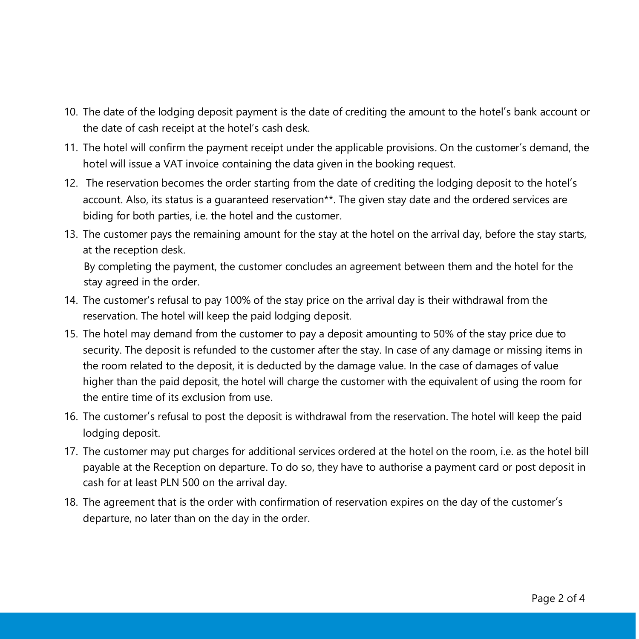- 10. The date of the lodging deposit payment is the date of crediting the amount to the hotel's bank account or the date of cash receipt at the hotel's cash desk.
- 11. The hotel will confirm the payment receipt under the applicable provisions. On the customer's demand, the hotel will issue a VAT invoice containing the data given in the booking request.
- 12. The reservation becomes the order starting from the date of crediting the lodging deposit to the hotel's account. Also, its status is a guaranteed reservation\*\*. The given stay date and the ordered services are biding for both parties, i.e. the hotel and the customer.
- 13. The customer pays the remaining amount for the stay at the hotel on the arrival day, before the stay starts, at the reception desk.

By completing the payment, the customer concludes an agreement between them and the hotel for the stay agreed in the order.

- 14. The customer's refusal to pay 100% of the stay price on the arrival day is their withdrawal from the reservation. The hotel will keep the paid lodging deposit.
- 15. The hotel may demand from the customer to pay a deposit amounting to 50% of the stay price due to security. The deposit is refunded to the customer after the stay. In case of any damage or missing items in the room related to the deposit, it is deducted by the damage value. In the case of damages of value higher than the paid deposit, the hotel will charge the customer with the equivalent of using the room for the entire time of its exclusion from use.
- 16. The customer's refusal to post the deposit is withdrawal from the reservation. The hotel will keep the paid lodging deposit.
- 17. The customer may put charges for additional services ordered at the hotel on the room, i.e. as the hotel bill payable at the Reception on departure. To do so, they have to authorise a payment card or post deposit in cash for at least PLN 500 on the arrival day.
- 18. The agreement that is the order with confirmation of reservation expires on the day of the customer's departure, no later than on the day in the order.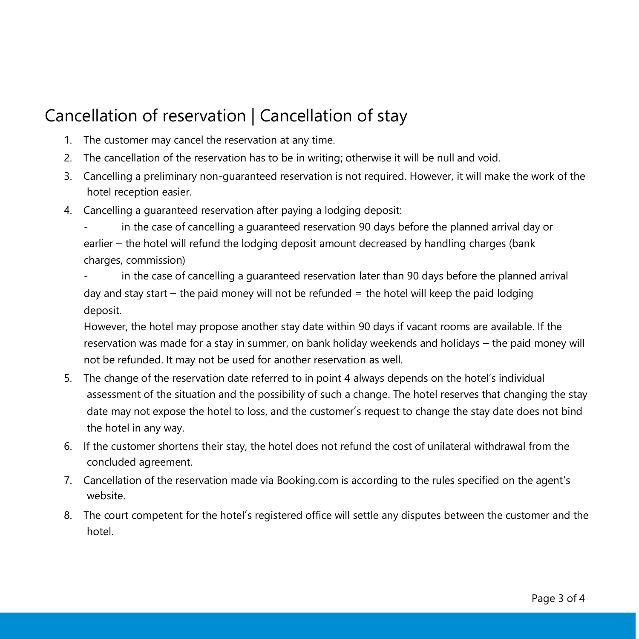## Cancellation of reservation | Cancellation of stay

- 1. The customer may cancel the reservation at any time.
- 2. The cancellation of the reservation has to be in writing; otherwise it will be null and void.
- 3. Cancelling a preliminary non-guaranteed reservation is not required. However, it will make the work of the hotel reception easier.
- 4. Cancelling a guaranteed reservation after paying a lodging deposit:
	- in the case of cancelling a guaranteed reservation 90 days before the planned arrival day or earlier – the hotel will refund the lodging deposit amount decreased by handling charges (bank charges, commission)
	- in the case of cancelling a guaranteed reservation later than 90 days before the planned arrival day and stay start – the paid money will not be refunded  $=$  the hotel will keep the paid lodging deposit.

However, the hotel may propose another stay date within 90 days if vacant rooms are available. If the reservation was made for a stay in summer, on bank holiday weekends and holidays – the paid money will not be refunded. It may not be used for another reservation as well.

- 5. The change of the reservation date referred to in point 4 always depends on the hotel's individual assessment of the situation and the possibility of such a change. The hotel reserves that changing the stay date may not expose the hotel to loss, and the customer's request to change the stay date does not bind the hotel in any way.
- 6. If the customer shortens their stay, the hotel does not refund the cost of unilateral withdrawal from the concluded agreement.
- 7. Cancellation of the reservation made via Booking.com is according to the rules specified on the agent's website.
- 8. The court competent for the hotel's registered office will settle any disputes between the customer and the hotel.